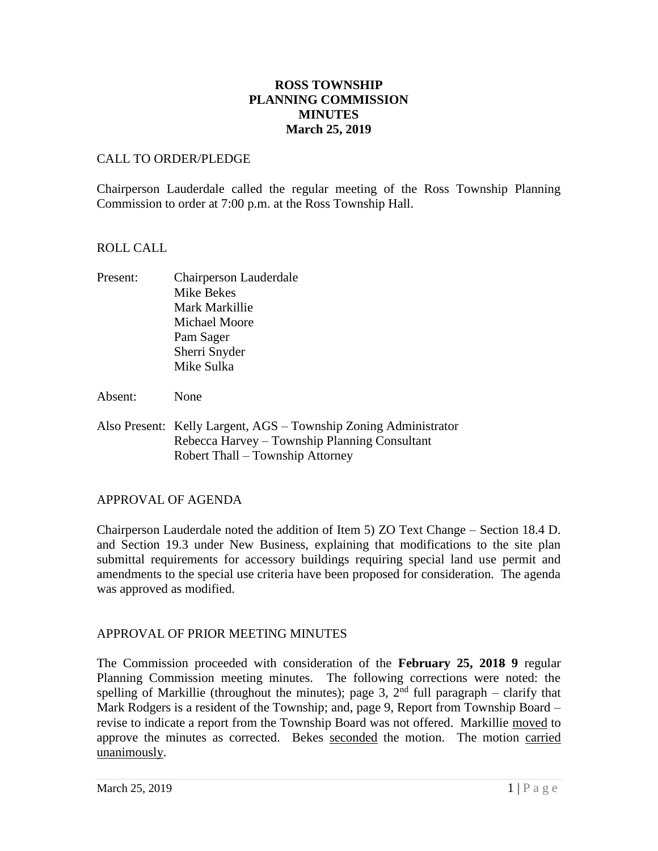# **ROSS TOWNSHIP PLANNING COMMISSION MINUTES March 25, 2019**

# CALL TO ORDER/PLEDGE

Chairperson Lauderdale called the regular meeting of the Ross Township Planning Commission to order at 7:00 p.m. at the Ross Township Hall.

# ROLL CALL

- Present: Chairperson Lauderdale Mike Bekes Mark Markillie Michael Moore Pam Sager Sherri Snyder Mike Sulka
- Absent: None
- Also Present: Kelly Largent, AGS Township Zoning Administrator Rebecca Harvey – Township Planning Consultant Robert Thall – Township Attorney

# APPROVAL OF AGENDA

Chairperson Lauderdale noted the addition of Item 5) ZO Text Change – Section 18.4 D. and Section 19.3 under New Business, explaining that modifications to the site plan submittal requirements for accessory buildings requiring special land use permit and amendments to the special use criteria have been proposed for consideration. The agenda was approved as modified.

# APPROVAL OF PRIOR MEETING MINUTES

The Commission proceeded with consideration of the **February 25, 2018 9** regular Planning Commission meeting minutes. The following corrections were noted: the spelling of Markillie (throughout the minutes); page 3,  $2<sup>nd</sup>$  full paragraph – clarify that Mark Rodgers is a resident of the Township; and, page 9, Report from Township Board – revise to indicate a report from the Township Board was not offered. Markillie moved to approve the minutes as corrected. Bekes seconded the motion. The motion carried unanimously.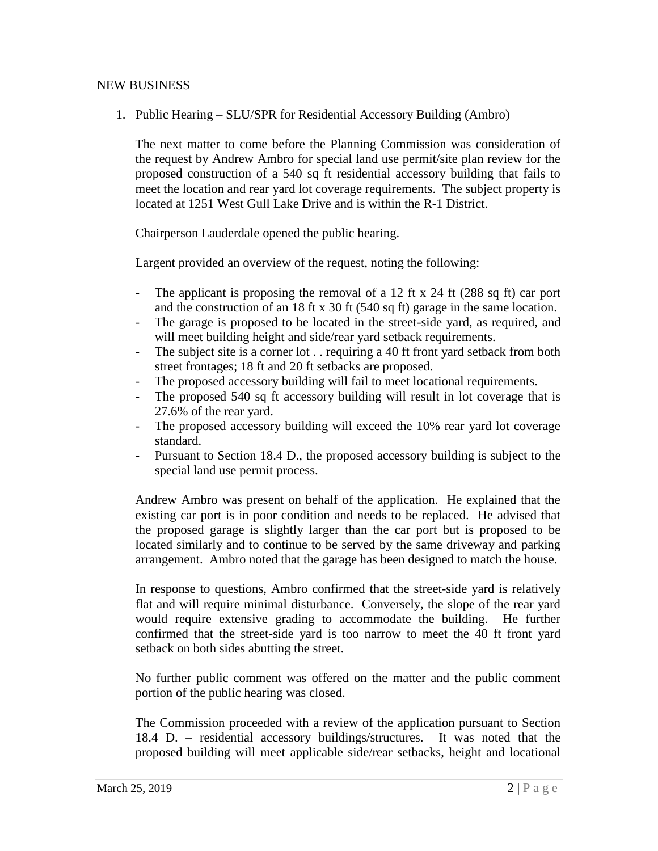## NEW BUSINESS

1. Public Hearing – SLU/SPR for Residential Accessory Building (Ambro)

The next matter to come before the Planning Commission was consideration of the request by Andrew Ambro for special land use permit/site plan review for the proposed construction of a 540 sq ft residential accessory building that fails to meet the location and rear yard lot coverage requirements. The subject property is located at 1251 West Gull Lake Drive and is within the R-1 District.

Chairperson Lauderdale opened the public hearing.

Largent provided an overview of the request, noting the following:

- The applicant is proposing the removal of a 12 ft x 24 ft (288 sq ft) car port and the construction of an 18 ft x 30 ft (540 sq ft) garage in the same location.
- The garage is proposed to be located in the street-side yard, as required, and will meet building height and side/rear yard setback requirements.
- The subject site is a corner lot . . requiring a 40 ft front yard setback from both street frontages; 18 ft and 20 ft setbacks are proposed.
- The proposed accessory building will fail to meet locational requirements.
- The proposed 540 sq ft accessory building will result in lot coverage that is 27.6% of the rear yard.
- The proposed accessory building will exceed the 10% rear yard lot coverage standard.
- Pursuant to Section 18.4 D., the proposed accessory building is subject to the special land use permit process.

Andrew Ambro was present on behalf of the application. He explained that the existing car port is in poor condition and needs to be replaced. He advised that the proposed garage is slightly larger than the car port but is proposed to be located similarly and to continue to be served by the same driveway and parking arrangement. Ambro noted that the garage has been designed to match the house.

In response to questions, Ambro confirmed that the street-side yard is relatively flat and will require minimal disturbance. Conversely, the slope of the rear yard would require extensive grading to accommodate the building. He further confirmed that the street-side yard is too narrow to meet the 40 ft front yard setback on both sides abutting the street.

No further public comment was offered on the matter and the public comment portion of the public hearing was closed.

The Commission proceeded with a review of the application pursuant to Section 18.4 D. – residential accessory buildings/structures. It was noted that the proposed building will meet applicable side/rear setbacks, height and locational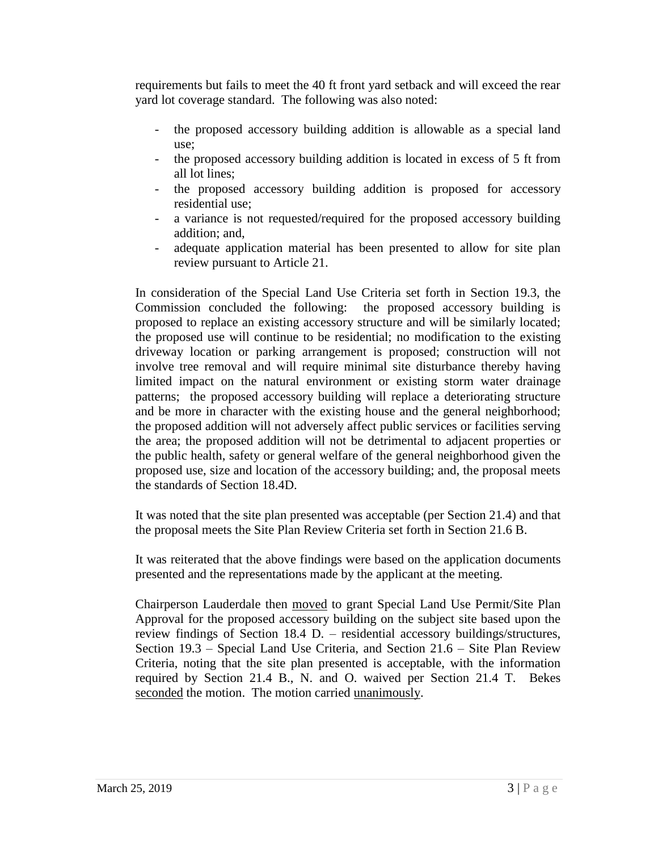requirements but fails to meet the 40 ft front yard setback and will exceed the rear yard lot coverage standard. The following was also noted:

- the proposed accessory building addition is allowable as a special land use;
- the proposed accessory building addition is located in excess of 5 ft from all lot lines;
- the proposed accessory building addition is proposed for accessory residential use;
- a variance is not requested/required for the proposed accessory building addition; and,
- adequate application material has been presented to allow for site plan review pursuant to Article 21.

In consideration of the Special Land Use Criteria set forth in Section 19.3, the Commission concluded the following: the proposed accessory building is proposed to replace an existing accessory structure and will be similarly located; the proposed use will continue to be residential; no modification to the existing driveway location or parking arrangement is proposed; construction will not involve tree removal and will require minimal site disturbance thereby having limited impact on the natural environment or existing storm water drainage patterns; the proposed accessory building will replace a deteriorating structure and be more in character with the existing house and the general neighborhood; the proposed addition will not adversely affect public services or facilities serving the area; the proposed addition will not be detrimental to adjacent properties or the public health, safety or general welfare of the general neighborhood given the proposed use, size and location of the accessory building; and, the proposal meets the standards of Section 18.4D.

It was noted that the site plan presented was acceptable (per Section 21.4) and that the proposal meets the Site Plan Review Criteria set forth in Section 21.6 B.

It was reiterated that the above findings were based on the application documents presented and the representations made by the applicant at the meeting.

Chairperson Lauderdale then moved to grant Special Land Use Permit/Site Plan Approval for the proposed accessory building on the subject site based upon the review findings of Section 18.4 D. – residential accessory buildings/structures, Section 19.3 – Special Land Use Criteria, and Section 21.6 – Site Plan Review Criteria, noting that the site plan presented is acceptable, with the information required by Section 21.4 B., N. and O. waived per Section 21.4 T. Bekes seconded the motion. The motion carried unanimously.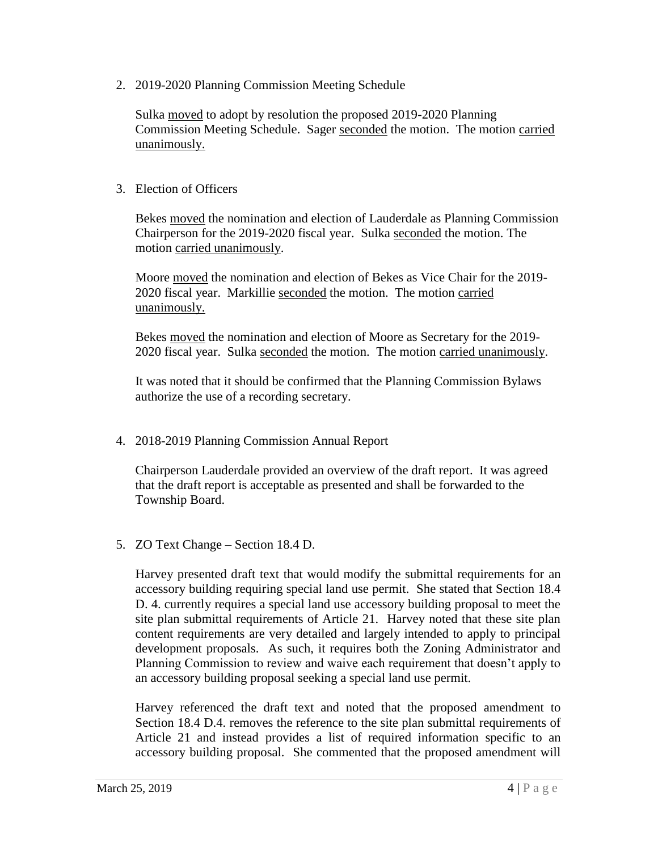2. 2019-2020 Planning Commission Meeting Schedule

Sulka moved to adopt by resolution the proposed 2019-2020 Planning Commission Meeting Schedule. Sager seconded the motion. The motion carried unanimously.

## 3. Election of Officers

Bekes moved the nomination and election of Lauderdale as Planning Commission Chairperson for the 2019-2020 fiscal year. Sulka seconded the motion. The motion carried unanimously.

Moore moved the nomination and election of Bekes as Vice Chair for the 2019- 2020 fiscal year. Markillie seconded the motion. The motion carried unanimously.

Bekes moved the nomination and election of Moore as Secretary for the 2019- 2020 fiscal year. Sulka seconded the motion. The motion carried unanimously.

It was noted that it should be confirmed that the Planning Commission Bylaws authorize the use of a recording secretary.

4. 2018-2019 Planning Commission Annual Report

Chairperson Lauderdale provided an overview of the draft report. It was agreed that the draft report is acceptable as presented and shall be forwarded to the Township Board.

5. ZO Text Change – Section 18.4 D.

Harvey presented draft text that would modify the submittal requirements for an accessory building requiring special land use permit. She stated that Section 18.4 D. 4. currently requires a special land use accessory building proposal to meet the site plan submittal requirements of Article 21. Harvey noted that these site plan content requirements are very detailed and largely intended to apply to principal development proposals. As such, it requires both the Zoning Administrator and Planning Commission to review and waive each requirement that doesn't apply to an accessory building proposal seeking a special land use permit.

Harvey referenced the draft text and noted that the proposed amendment to Section 18.4 D.4. removes the reference to the site plan submittal requirements of Article 21 and instead provides a list of required information specific to an accessory building proposal. She commented that the proposed amendment will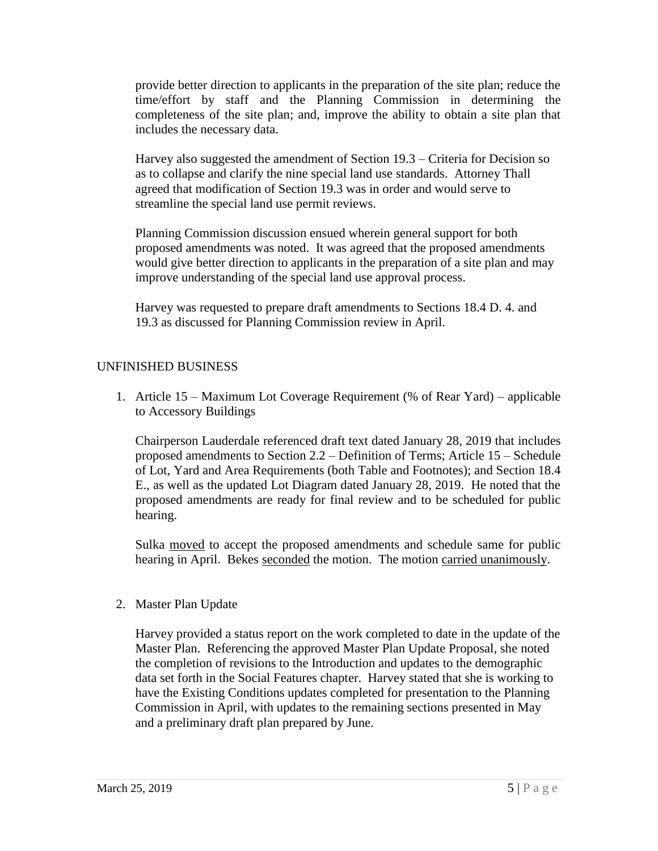provide better direction to applicants in the preparation of the site plan; reduce the time/effort by staff and the Planning Commission in determining the completeness of the site plan; and, improve the ability to obtain a site plan that includes the necessary data.

Harvey also suggested the amendment of Section 19.3 – Criteria for Decision so as to collapse and clarify the nine special land use standards. Attorney Thall agreed that modification of Section 19.3 was in order and would serve to streamline the special land use permit reviews.

Planning Commission discussion ensued wherein general support for both proposed amendments was noted. It was agreed that the proposed amendments would give better direction to applicants in the preparation of a site plan and may improve understanding of the special land use approval process.

Harvey was requested to prepare draft amendments to Sections 18.4 D. 4. and 19.3 as discussed for Planning Commission review in April.

# UNFINISHED BUSINESS

1. Article 15 – Maximum Lot Coverage Requirement (% of Rear Yard) – applicable to Accessory Buildings

Chairperson Lauderdale referenced draft text dated January 28, 2019 that includes proposed amendments to Section 2.2 – Definition of Terms; Article 15 – Schedule of Lot, Yard and Area Requirements (both Table and Footnotes); and Section 18.4 E., as well as the updated Lot Diagram dated January 28, 2019. He noted that the proposed amendments are ready for final review and to be scheduled for public hearing.

Sulka moved to accept the proposed amendments and schedule same for public hearing in April. Bekes seconded the motion. The motion carried unanimously.

2. Master Plan Update

Harvey provided a status report on the work completed to date in the update of the Master Plan. Referencing the approved Master Plan Update Proposal, she noted the completion of revisions to the Introduction and updates to the demographic data set forth in the Social Features chapter. Harvey stated that she is working to have the Existing Conditions updates completed for presentation to the Planning Commission in April, with updates to the remaining sections presented in May and a preliminary draft plan prepared by June.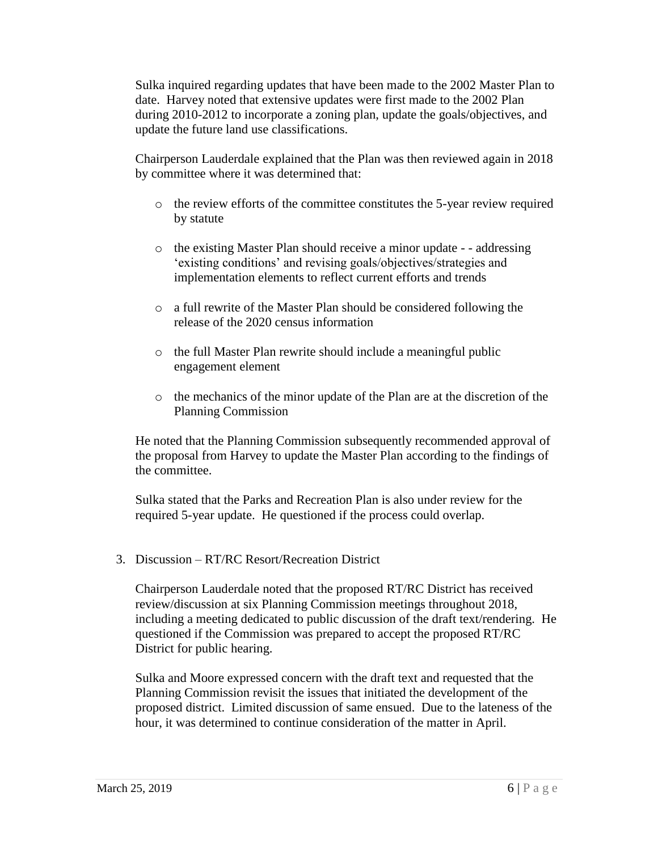Sulka inquired regarding updates that have been made to the 2002 Master Plan to date. Harvey noted that extensive updates were first made to the 2002 Plan during 2010-2012 to incorporate a zoning plan, update the goals/objectives, and update the future land use classifications.

Chairperson Lauderdale explained that the Plan was then reviewed again in 2018 by committee where it was determined that:

- o the review efforts of the committee constitutes the 5-year review required by statute
- o the existing Master Plan should receive a minor update - addressing 'existing conditions' and revising goals/objectives/strategies and implementation elements to reflect current efforts and trends
- o a full rewrite of the Master Plan should be considered following the release of the 2020 census information
- o the full Master Plan rewrite should include a meaningful public engagement element
- o the mechanics of the minor update of the Plan are at the discretion of the Planning Commission

He noted that the Planning Commission subsequently recommended approval of the proposal from Harvey to update the Master Plan according to the findings of the committee.

Sulka stated that the Parks and Recreation Plan is also under review for the required 5-year update. He questioned if the process could overlap.

3. Discussion – RT/RC Resort/Recreation District

Chairperson Lauderdale noted that the proposed RT/RC District has received review/discussion at six Planning Commission meetings throughout 2018, including a meeting dedicated to public discussion of the draft text/rendering. He questioned if the Commission was prepared to accept the proposed RT/RC District for public hearing.

Sulka and Moore expressed concern with the draft text and requested that the Planning Commission revisit the issues that initiated the development of the proposed district. Limited discussion of same ensued. Due to the lateness of the hour, it was determined to continue consideration of the matter in April.